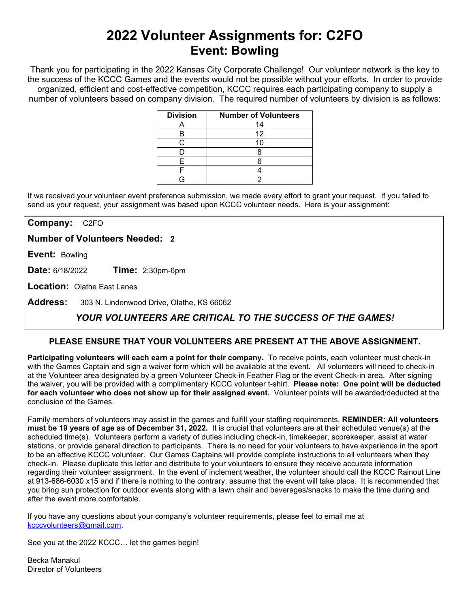# **2022 Volunteer Assignments for: C2FO Event: Bowling**

Thank you for participating in the 2022 Kansas City Corporate Challenge! Our volunteer network is the key to the success of the KCCC Games and the events would not be possible without your efforts.In order to provide organized, efficient and cost-effective competition, KCCC requires each participating company to supply a number of volunteers based on company division. The required number of volunteers by division is as follows:

| <b>Division</b> | <b>Number of Volunteers</b> |
|-----------------|-----------------------------|
|                 | 14                          |
|                 | 12                          |
|                 | 10                          |
|                 |                             |
|                 |                             |
|                 |                             |
|                 |                             |

If we received your volunteer event preference submission, we made every effort to grant your request. If you failed to send us your request, your assignment was based upon KCCC volunteer needs. Here is your assignment:

**Company:** C2FO

**Number of Volunteers Needed: 2**

**Event:** Bowling

**Date:** 6/18/2022 **Time:** 2:30pm-6pm

**Location:** Olathe East Lanes

**Address:** 303 N. Lindenwood Drive, Olathe, KS 66062

## *YOUR VOLUNTEERS ARE CRITICAL TO THE SUCCESS OF THE GAMES!*

### **PLEASE ENSURE THAT YOUR VOLUNTEERS ARE PRESENT AT THE ABOVE ASSIGNMENT.**

**Participating volunteers will each earn a point for their company.** To receive points, each volunteer must check-in with the Games Captain and sign a waiver form which will be available at the event. All volunteers will need to check-in at the Volunteer area designated by a green Volunteer Check-in Feather Flag or the event Check-in area. After signing the waiver, you will be provided with a complimentary KCCC volunteer t-shirt. **Please note: One point will be deducted for each volunteer who does not show up for their assigned event.** Volunteer points will be awarded/deducted at the conclusion of the Games.

Family members of volunteers may assist in the games and fulfill your staffing requirements. **REMINDER: All volunteers must be 19 years of age as of December 31, 2022.** It is crucial that volunteers are at their scheduled venue(s) at the scheduled time(s). Volunteers perform a variety of duties including check-in, timekeeper, scorekeeper, assist at water stations, or provide general direction to participants. There is no need for your volunteers to have experience in the sport to be an effective KCCC volunteer. Our Games Captains will provide complete instructions to all volunteers when they check-in. Please duplicate this letter and distribute to your volunteers to ensure they receive accurate information regarding their volunteer assignment. In the event of inclement weather, the volunteer should call the KCCC Rainout Line at 913-686-6030 x15 and if there is nothing to the contrary, assume that the event will take place. It is recommended that you bring sun protection for outdoor events along with a lawn chair and beverages/snacks to make the time during and after the event more comfortable.

If you have any questions about your company's volunteer requirements, please feel to email me at [kcccvolunteers@gmail.com.](mailto:kcccvolunteers@gmail.com)

See you at the 2022 KCCC… let the games begin!

Becka Manakul Director of Volunteers